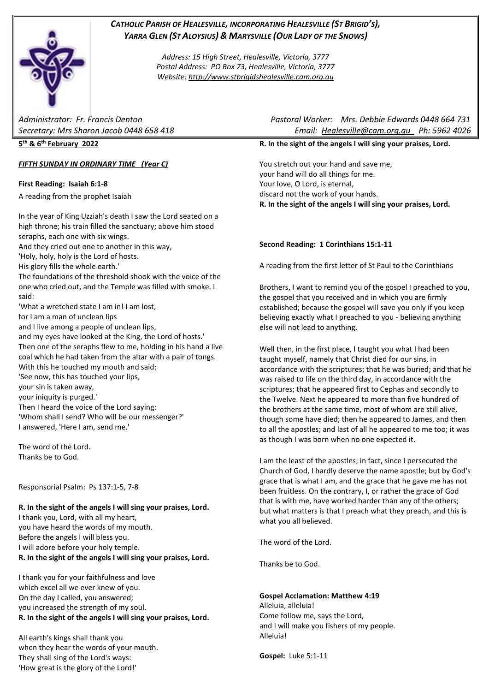## *CATHOLIC PARISH OF HEALESVILLE, INCORPORATING HEALESVILLE (ST BRIGID'S), YARRA GLEN (ST ALOYSIUS) & MARYSVILLE (OUR LADY OF THE SNOWS)*

*Address: 15 High Street, Healesville, Victoria, 3777 Postal Address: PO Box 73, Healesville, Victoria, 3777 Website: [http://www.stbrigidshealesville.cam.org.au](http://www.stbrigidshealesville.cam.org.au/)*

**5 th & 6th February 2022**

*FIFTH SUNDAY IN ORDINARY TIME (Year C)*

#### **First Reading: Isaiah 6:1-8**

A reading from the prophet Isaiah

In the year of King Uzziah's death I saw the Lord seated on a high throne; his train filled the sanctuary; above him stood seraphs, each one with six wings. And they cried out one to another in this way, 'Holy, holy, holy is the Lord of hosts. His glory fills the whole earth.' The foundations of the threshold shook with the voice of the

one who cried out, and the Temple was filled with smoke. I said:

'What a wretched state I am in! I am lost,

for I am a man of unclean lips

and I live among a people of unclean lips, and my eyes have looked at the King, the Lord of hosts.' Then one of the seraphs flew to me, holding in his hand a live coal which he had taken from the altar with a pair of tongs. With this he touched my mouth and said: 'See now, this has touched your lips, your sin is taken away, your iniquity is purged.' Then I heard the voice of the Lord saying: 'Whom shall I send? Who will be our messenger?' I answered, 'Here I am, send me.'

The word of the Lord. Thanks be to God.

Responsorial Psalm: Ps 137:1-5, 7-8

**R. In the sight of the angels I will sing your praises, Lord.** I thank you, Lord, with all my heart, you have heard the words of my mouth. Before the angels I will bless you. I will adore before your holy temple. **R. In the sight of the angels I will sing your praises, Lord.**

I thank you for your faithfulness and love which excel all we ever knew of you. On the day I called, you answered; you increased the strength of my soul. **R. In the sight of the angels I will sing your praises, Lord.**

All earth's kings shall thank you when they hear the words of your mouth. They shall sing of the Lord's ways: 'How great is the glory of the Lord!'

*Administrator: Fr. Francis Denton Pastoral Worker: Mrs. Debbie Edwards 0448 664 731 Secretary: Mrs Sharon Jacob 0448 658 418 Email: [Healesville@cam.org.au](mailto:Healesville@cam.org.au) Ph: 5962 4026* 

#### **R. In the sight of the angels I will sing your praises, Lord.**

You stretch out your hand and save me, your hand will do all things for me. Your love, O Lord, is eternal, discard not the work of your hands. **R. In the sight of the angels I will sing your praises, Lord.**

#### **Second Reading: 1 Corinthians 15:1-11**

A reading from the first letter of St Paul to the Corinthians

Brothers, I want to remind you of the gospel I preached to you, the gospel that you received and in which you are firmly established; because the gospel will save you only if you keep believing exactly what I preached to you - believing anything else will not lead to anything.

Well then, in the first place, I taught you what I had been taught myself, namely that Christ died for our sins, in accordance with the scriptures; that he was buried; and that he was raised to life on the third day, in accordance with the scriptures; that he appeared first to Cephas and secondly to the Twelve. Next he appeared to more than five hundred of the brothers at the same time, most of whom are still alive, though some have died; then he appeared to James, and then to all the apostles; and last of all he appeared to me too; it was as though I was born when no one expected it.

I am the least of the apostles; in fact, since I persecuted the Church of God, I hardly deserve the name apostle; but by God's grace that is what I am, and the grace that he gave me has not been fruitless. On the contrary, I, or rather the grace of God that is with me, have worked harder than any of the others; but what matters is that I preach what they preach, and this is what you all believed.

The word of the Lord.

Thanks be to God.

# **Gospel Acclamation: Matthew 4:19**

Alleluia, alleluia! Come follow me, says the Lord, and I will make you fishers of my people. Alleluia!

**Gospel:** Luke 5:1-11

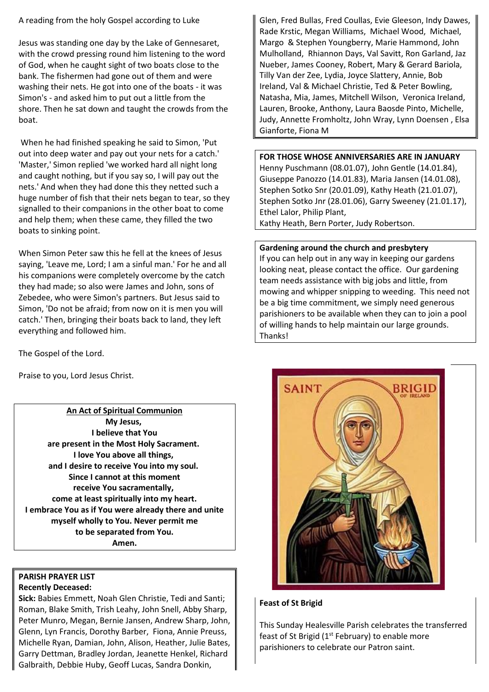### A reading from the holy Gospel according to Luke

Jesus was standing one day by the Lake of Gennesaret, with the crowd pressing round him listening to the word of God, when he caught sight of two boats close to the bank. The fishermen had gone out of them and were washing their nets. He got into one of the boats - it was Simon's - and asked him to put out a little from the shore. Then he sat down and taught the crowds from the boat.

When he had finished speaking he said to Simon, 'Put out into deep water and pay out your nets for a catch.' 'Master,' Simon replied 'we worked hard all night long and caught nothing, but if you say so, I will pay out the nets.' And when they had done this they netted such a huge number of fish that their nets began to tear, so they signalled to their companions in the other boat to come and help them; when these came, they filled the two boats to sinking point.

When Simon Peter saw this he fell at the knees of Jesus saying, 'Leave me, Lord; I am a sinful man.' For he and all his companions were completely overcome by the catch they had made; so also were James and John, sons of Zebedee, who were Simon's partners. But Jesus said to Simon, 'Do not be afraid; from now on it is men you will catch.' Then, bringing their boats back to land, they left everything and followed him.

The Gospel of the Lord.

Praise to you, Lord Jesus Christ.

**An Act of Spiritual Communion My Jesus, I believe that You are present in the Most Holy Sacrament. I love You above all things, and I desire to receive You into my soul. Since I cannot at this moment receive You sacramentally, come at least spiritually into my heart. I embrace You as if You were already there and unite myself wholly to You. Never permit me to be separated from You. Amen.**

## **PARISH PRAYER LIST Recently Deceased:**

**Sick:** Babies Emmett, Noah Glen Christie, Tedi and Santi; Roman, Blake Smith, Trish Leahy, John Snell, Abby Sharp, Peter Munro, Megan, Bernie Jansen, Andrew Sharp, John, Glenn, Lyn Francis, Dorothy Barber, Fiona, Annie Preuss, Michelle Ryan, Damian, John, Alison, Heather, Julie Bates, Garry Dettman, Bradley Jordan, Jeanette Henkel, Richard Galbraith, Debbie Huby, Geoff Lucas, Sandra Donkin,

Glen, Fred Bullas, Fred Coullas, Evie Gleeson, Indy Dawes, Rade Krstic, Megan Williams, Michael Wood, Michael, Margo & Stephen Youngberry, Marie Hammond, John Mulholland, Rhiannon Days, Val Savitt, Ron Garland, Jaz Nueber, James Cooney, Robert, Mary & Gerard Bariola, Tilly Van der Zee, Lydia, Joyce Slattery, Annie, Bob Ireland, Val & Michael Christie, Ted & Peter Bowling, Natasha, Mia, James, Mitchell Wilson, Veronica Ireland, Lauren, Brooke, Anthony, Laura Baosde Pinto, Michelle, Judy, Annette Fromholtz, John Wray, Lynn Doensen , Elsa Gianforte, Fiona M

**FOR THOSE WHOSE ANNIVERSARIES ARE IN JANUARY** Henny Puschmann (08.01.07), John Gentle (14.01.84), Giuseppe Panozzo (14.01.83), Maria Jansen (14.01.08), Stephen Sotko Snr (20.01.09), Kathy Heath (21.01.07), Stephen Sotko Jnr (28.01.06), Garry Sweeney (21.01.17), Ethel Lalor, Philip Plant, Kathy Heath, Bern Porter, Judy Robertson.

# **Gardening around the church and presbytery**

If you can help out in any way in keeping our gardens looking neat, please contact the office. Our gardening team needs assistance with big jobs and little, from mowing and whipper snipping to weeding. This need not be a big time commitment, we simply need generous parishioners to be available when they can to join a pool of willing hands to help maintain our large grounds. Thanks!



# **Feast of St Brigid**

This Sunday Healesville Parish celebrates the transferred feast of St Brigid ( $1<sup>st</sup>$  February) to enable more parishioners to celebrate our Patron saint.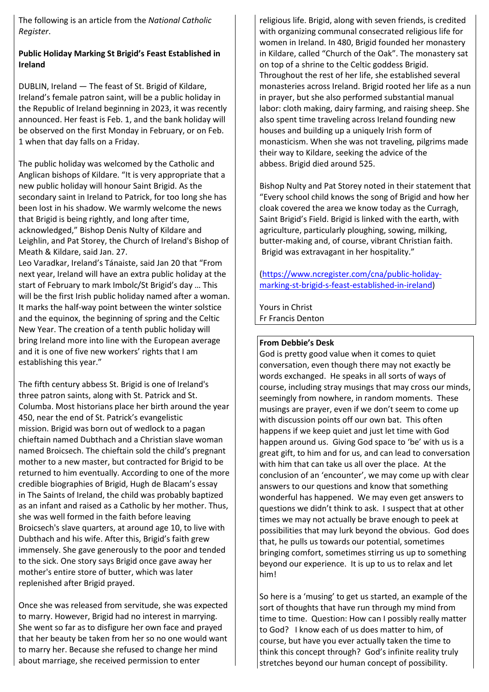The following is an article from the *National Catholic Register*.

### **Public Holiday Marking St Brigid's Feast Established in Ireland**

DUBLIN, Ireland — The feast of St. Brigid of Kildare, Ireland's female patron saint, will be a public holiday in the Republic of Ireland beginning in 2023, it was recently announced. Her feast is Feb. 1, and the bank holiday will be observed on the first Monday in February, or on Feb. 1 when that day falls on a Friday.

The public holiday was welcomed by the Catholic and Anglican bishops of Kildare. "It is very appropriate that a new public holiday will honour Saint Brigid. As the secondary saint in Ireland to Patrick, for too long she has been lost in his shadow. We warmly welcome the news that Brigid is being rightly, and long after time, acknowledged," Bishop Denis Nulty of Kildare and Leighlin, and Pat Storey, the Church of Ireland's Bishop of Meath & Kildare, said Jan. 27.

Leo Varadkar, Ireland's Tánaiste, said Jan 20 that "From next year, Ireland will have an extra public holiday at the start of February to mark Imbolc/St Brigid's day … This will be the first Irish public holiday named after a woman. It marks the half-way point between the winter solstice and the equinox, the beginning of spring and the Celtic New Year. The creation of a tenth public holiday will bring Ireland more into line with the European average and it is one of five new workers' rights that I am establishing this year."

The fifth century abbess St. Brigid is one of Ireland's three patron saints, along with St. Patrick and St. Columba. Most historians place her birth around the year 450, near the end of St. Patrick's evangelistic mission. Brigid was born out of wedlock to a pagan chieftain named Dubthach and a Christian slave woman named Broicsech. The chieftain sold the child's pregnant mother to a new master, but contracted for Brigid to be returned to him eventually. According to one of the more credible biographies of Brigid, Hugh de Blacam's essay in The Saints of Ireland, the child was probably baptized as an infant and raised as a Catholic by her mother. Thus, she was well formed in the faith before leaving Broicsech's slave quarters, at around age 10, to live with Dubthach and his wife. After this, Brigid's faith grew immensely. She gave generously to the poor and tended to the sick. One story says Brigid once gave away her mother's entire store of butter, which was later replenished after Brigid prayed.

Once she was released from servitude, she was expected to marry. However, Brigid had no interest in marrying. She went so far as to disfigure her own face and prayed that her beauty be taken from her so no one would want to marry her. Because she refused to change her mind about marriage, she received permission to enter

religious life. Brigid, along with seven friends, is credited with organizing communal consecrated religious life for women in Ireland. In 480, Brigid founded her monastery in Kildare, called "Church of the Oak". The monastery sat on top of a shrine to the Celtic goddess Brigid. Throughout the rest of her life, she established several monasteries across Ireland. Brigid rooted her life as a nun in prayer, but she also performed substantial manual labor: cloth making, dairy farming, and raising sheep. She also spent time traveling across Ireland founding new houses and building up a uniquely Irish form of monasticism. When she was not traveling, pilgrims made their way to Kildare, seeking the advice of the abbess. Brigid died around 525.

Bishop Nulty and Pat Storey noted in their statement that "Every school child knows the song of Brigid and how her cloak covered the area we know today as the Curragh, Saint Brigid's Field. Brigid is linked with the earth, with agriculture, particularly ploughing, sowing, milking, butter-making and, of course, vibrant Christian faith. Brigid was extravagant in her hospitality."

[\(https://www.ncregister.com/cna/public-holiday](https://www.ncregister.com/cna/public-holiday-marking-st-brigid-s-feast-established-in-ireland)[marking-st-brigid-s-feast-established-in-ireland\)](https://www.ncregister.com/cna/public-holiday-marking-st-brigid-s-feast-established-in-ireland)

Yours in Christ Fr Francis Denton

#### **From Debbie's Desk**

God is pretty good value when it comes to quiet conversation, even though there may not exactly be words exchanged. He speaks in all sorts of ways of course, including stray musings that may cross our minds, seemingly from nowhere, in random moments. These musings are prayer, even if we don't seem to come up with discussion points off our own bat. This often happens if we keep quiet and just let time with God happen around us. Giving God space to 'be' with us is a great gift, to him and for us, and can lead to conversation with him that can take us all over the place. At the conclusion of an 'encounter', we may come up with clear answers to our questions and know that something wonderful has happened. We may even get answers to questions we didn't think to ask. I suspect that at other times we may not actually be brave enough to peek at possibilities that may lurk beyond the obvious. God does that, he pulls us towards our potential, sometimes bringing comfort, sometimes stirring us up to something beyond our experience. It is up to us to relax and let him!

So here is a 'musing' to get us started, an example of the sort of thoughts that have run through my mind from time to time. Question: How can I possibly really matter to God? I know each of us does matter to him, of course, but have you ever actually taken the time to think this concept through? God's infinite reality truly stretches beyond our human concept of possibility.